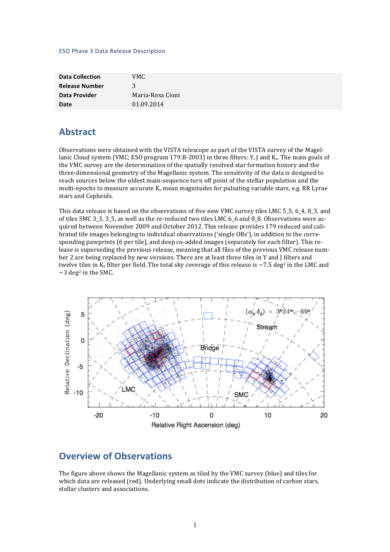#### ESO Phase 3 Data Release Description

| <b>Data Collection</b> | VMC.             |
|------------------------|------------------|
| <b>Release Number</b>  | 3                |
| Data Provider          | Maria-Rosa Cioni |
| Date                   | 01.09.2014       |

### **Abstract**

Observations were obtained with the VISTA telescope as part of the VISTA survey of the Magellanic Cloud system (VMC; ESO program  $179.B-2003$ ) in three filters: Y, J and K<sub>s</sub>. The main goals of the VMC survey are the determination of the spatially resolved star formation history and the three-dimensional geometry of the Magellanic system. The sensitivity of the data is designed to reach sources below the oldest main-sequence turn off point of the stellar population and the multi-epochs to measure accurate  $K_s$  mean magnitudes for pulsating variable stars, e.g. RR Lyrae stars and Cepheids.

This data release is based on the observations of five new VMC survey tiles LMC 5\_5, 6\_4, 8\_3, and of tiles SMC  $3_3$ ,  $3_5$ , as well as the re-reduced two tiles LMC  $6_6$  and  $8_8$ . Observations were acquired between November 2009 and October 2012. This release provides 179 reduced and calibrated tile images belonging to individual observations ('single  $OBs'$ ), in addition to the corresponding pawprints (6 per tile), and deep co-added images (separately for each filter). This release is superseding the previous release, meaning that all files of the previous VMC release number 2 are being replaced by new versions. There are at least three tiles in Y and I filters and twelve tiles in  $K_s$  filter per field. The total sky coverage of this release is  $\sim$ 7.5 deg<sup>2</sup> in the LMC and  $\sim$ 3 deg<sup>2</sup> in the SMC.



### **Overview of Observations**

The figure above shows the Magellanic system as tiled by the VMC survey (blue) and tiles for which data are released (red). Underlying small dots indicate the distribution of carbon stars, stellar clusters and associations.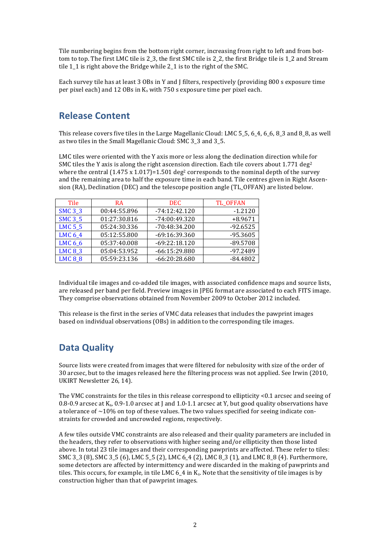Tile numbering begins from the bottom right corner, increasing from right to left and from bottom to top. The first LMC tile is 2\_3, the first SMC tile is 2\_2, the first Bridge tile is 1\_2 and Stream tile  $1\ 1$  is right above the Bridge while  $2\ 1$  is to the right of the SMC.

Each survey tile has at least 3 OBs in Y and J filters, respectively (providing 800 s exposure time per pixel each) and 12 OBs in  $K_s$  with 750 s exposure time per pixel each.

## **Release Content**

This release covers five tiles in the Large Magellanic Cloud: LMC  $5, 5, 6, 4, 6, 6, 8, 3$  and  $8, 8$ , as well as two tiles in the Small Magellanic Cloud: SMC 3\_3 and 3\_5.

LMC tiles were oriented with the Y axis more or less along the declination direction while for SMC tiles the Y axis is along the right ascension direction. Each tile covers about  $1.771 \text{ deg}^2$ where the central  $(1.475 \times 1.017) = 1.501 \text{ deg}^2$  corresponds to the nominal depth of the survey and the remaining area to half the exposure time in each band. Tile centres given in Right Ascension (RA), Declination (DEC) and the telescope position angle (TL\_OFFAN) are listed below.

| Tile           | <b>RA</b>    | <b>DEC</b>      | <b>TL_OFFAN</b> |
|----------------|--------------|-----------------|-----------------|
| <b>SMC 3_3</b> | 00:44:55.896 | $-74:12:42.120$ | $-1.2120$       |
| <b>SMC 3_5</b> | 01:27:30.816 | $-74:00:49.320$ | $+8.9671$       |
| <b>LMC 5_5</b> | 05:24:30.336 | $-70:48:34.200$ | $-92.6525$      |
| LMC 6_4        | 05:12:55.800 | $-69:16:39.360$ | -95.3605        |
| LMC 6_6        | 05:37:40.008 | $-69:22:18.120$ | $-89.5708$      |
| <b>LMC 8_3</b> | 05:04:53.952 | $-66:15:29.880$ | $-97.2489$      |
| <b>LMC 8_8</b> | 05:59:23.136 | $-66:20:28.680$ | $-84.4802$      |

Individual tile images and co-added tile images, with associated confidence maps and source lists, are released per band per field. Preview images in JPEG format are associated to each FITS image. They comprise observations obtained from November 2009 to October 2012 included.

This release is the first in the series of VMC data releases that includes the pawprint images based on individual observations (OBs) in addition to the corresponding tile images.

# **Data Quality**

Source lists were created from images that were filtered for nebulosity with size of the order of 30 arcsec, but to the images released here the filtering process was not applied. See Irwin (2010, UKIRT Newsletter 26, 14).

The VMC constraints for the tiles in this release correspond to ellipticity  $<0.1$  arcsec and seeing of 0.8-0.9 arcsec at  $K_s$ , 0.9-1.0 arcsec at J and 1.0-1.1 arcsec at Y, but good quality observations have a tolerance of  $\sim$ 10% on top of these values. The two values specified for seeing indicate constraints for crowded and uncrowded regions, respectively.

A few tiles outside VMC constraints are also released and their quality parameters are included in the headers, they refer to observations with higher seeing and/or ellipticity then those listed above. In total 23 tile images and their corresponding pawprints are affected. These refer to tiles: SMC 3\_3 (8), SMC 3\_5 (6), LMC 5\_5 (2), LMC 6\_4 (2), LMC 8\_3 (1), and LMC 8\_8 (4). Furthermore, some detectors are affected by intermittency and were discarded in the making of pawprints and tiles. This occurs, for example, in tile LMC  $6-4$  in K<sub>s</sub>. Note that the sensitivity of tile images is by construction higher than that of pawprint images.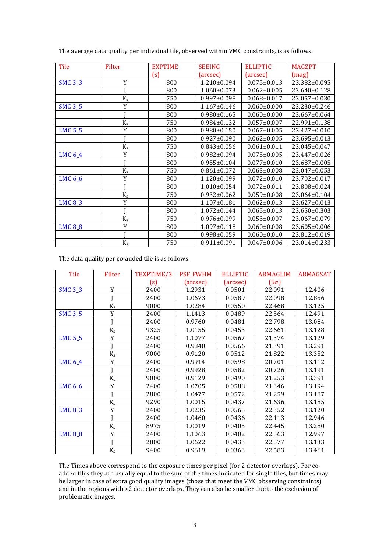| Tile           | Filter                     | <b>EXPTIME</b> | <b>SEEING</b>     | <b>ELLIPTIC</b>   | <b>MAGZPT</b> |
|----------------|----------------------------|----------------|-------------------|-------------------|---------------|
|                |                            | (s)            | (arcsec)          | (arcsec)          | (mag)         |
| <b>SMC 3_3</b> | Y                          | 800            | $1.210 \pm 0.094$ | $0.075 \pm 0.013$ | 23.382±0.095  |
|                |                            | 800            | $1.060 \pm 0.073$ | $0.062 \pm 0.005$ | 23.640±0.128  |
|                | $K_{\scriptscriptstyle S}$ | 750            | $0.997 \pm 0.098$ | $0.068 \pm 0.017$ | 23.057±0.030  |
| <b>SMC 3_5</b> | Y                          | 800            | $1.167 \pm 0.146$ | $0.060 \pm 0.000$ | 23.230±0.246  |
|                |                            | 800            | $0.980 \pm 0.165$ | $0.060 \pm 0.000$ | 23.667±0.064  |
|                | $K_s$                      | 750            | $0.984 \pm 0.132$ | $0.057 \pm 0.007$ | 22.991±0.138  |
| <b>LMC 5_5</b> | Y                          | 800            | $0.980 \pm 0.150$ | $0.067 \pm 0.005$ | 23.427±0.010  |
|                |                            | 800            | $0.927 \pm 0.090$ | $0.062 \pm 0.005$ | 23.695±0.013  |
|                | $K_s$                      | 750            | $0.843 \pm 0.056$ | $0.061 \pm 0.011$ | 23.045±0.047  |
| LMC 6_4        | Y                          | 800            | $0.982 \pm 0.094$ | $0.075 \pm 0.005$ | 23.447±0.026  |
|                |                            | 800            | $0.955 \pm 0.104$ | $0.077 \pm 0.010$ | 23.687±0.005  |
|                | $K_s$                      | 750            | $0.861 \pm 0.072$ | $0.063 \pm 0.008$ | 23.047±0.053  |
| LMC 6_6        | Y                          | 800            | 1.120±0.099       | $0.072 \pm 0.010$ | 23.702±0.017  |
|                |                            | 800            | $1.010\pm0.054$   | $0.072 \pm 0.011$ | 23.808±0.024  |
|                | $K_{\rm s}$                | 750            | $0.932 \pm 0.062$ | $0.059 \pm 0.008$ | 23.064±0.104  |
| LMC 8_3        | Y                          | 800            | 1.107±0.181       | $0.062 \pm 0.013$ | 23.627±0.013  |
|                |                            | 800            | $1.072 \pm 0.144$ | $0.065 \pm 0.013$ | 23.650±0.303  |
|                | $K_{\rm s}$                | 750            | $0.976 \pm 0.099$ | $0.053 \pm 0.007$ | 23.067±0.079  |
| LMC 8_8        | Y                          | 800            | $1.097 \pm 0.118$ | $0.060 \pm 0.008$ | 23.605±0.006  |
|                |                            | 800            | $0.998 \pm 0.059$ | $0.060 \pm 0.010$ | 23.812±0.019  |
|                | $K_s$                      | 750            | $0.911 \pm 0.091$ | $0.047 \pm 0.006$ | 23.014±0.233  |

The average data quality per individual tile, observed within VMC constraints, is as follows.

The data quality per co-added tile is as follows.

| Tile           | Filter      | TEXPTIME/3 | <b>PSF_FWHM</b> | <b>ELLIPTIC</b> | <b>ABMAGLIM</b> | <b>ABMAGSAT</b> |
|----------------|-------------|------------|-----------------|-----------------|-----------------|-----------------|
|                |             | (s)        | (arcsec)        | (arcsec)        | $(5\sigma)$     |                 |
| <b>SMC 3_3</b> | Y           | 2400       | 1.2931          | 0.0501          | 22.091          | 12.406          |
|                |             | 2400       | 1.0673          | 0.0589          | 22.098          | 12.856          |
|                | $K_s$       | 9000       | 1.0284          | 0.0550          | 22.468          | 13.125          |
| <b>SMC 3_5</b> | Y           | 2400       | 1.1413          | 0.0489          | 22.564          | 12.491          |
|                |             | 2400       | 0.9760          | 0.0481          | 22.798          | 13.084          |
|                | $K_s$       | 9325       | 1.0155          | 0.0453          | 22.661          | 13.128          |
| <b>LMC 5_5</b> | Y           | 2400       | 1.1077          | 0.0567          | 21.374          | 13.129          |
|                |             | 2400       | 0.9840          | 0.0566          | 21.391          | 13.291          |
|                | $K_{\rm s}$ | 9000       | 0.9120          | 0.0512          | 21.822          | 13.352          |
| LMC 6_4        | Y           | 2400       | 0.9914          | 0.0598          | 20.701          | 13.112          |
|                |             | 2400       | 0.9928          | 0.0582          | 20.726          | 13.191          |
|                | $\rm K_s$   | 9000       | 0.9129          | 0.0490          | 21.253          | 13.391          |
| LMC 6_6        | Y           | 2400       | 1.0705          | 0.0588          | 21.346          | 13.194          |
|                |             | 2800       | 1.0477          | 0.0572          | 21.259          | 13.187          |
|                | $K_s$       | 9290       | 1.0015          | 0.0437          | 21.636          | 13.185          |
| <b>LMC 8_3</b> | Y           | 2400       | 1.0235          | 0.0565          | 22.352          | 13.120          |
|                |             | 2400       | 1.0460          | 0.0436          | 22.113          | 12.946          |
|                | $K_{\rm s}$ | 8975       | 1.0019          | 0.0405          | 22.445          | 13.280          |
| <b>LMC 8_8</b> | Y           | 2400       | 1.1063          | 0.0402          | 22.563          | 12.997          |
|                |             | 2800       | 1.0622          | 0.0433          | 22.577          | 13.133          |
|                | $K_s$       | 9400       | 0.9619          | 0.0363          | 22.583          | 13.461          |

The Times above correspond to the exposure times per pixel (for 2 detector overlaps). For coadded tiles they are usually equal to the sum of the times indicated for single tiles, but times may be larger in case of extra good quality images (those that meet the VMC observing constraints) and in the regions with  $>2$  detector overlaps. They can also be smaller due to the exclusion of problematic images.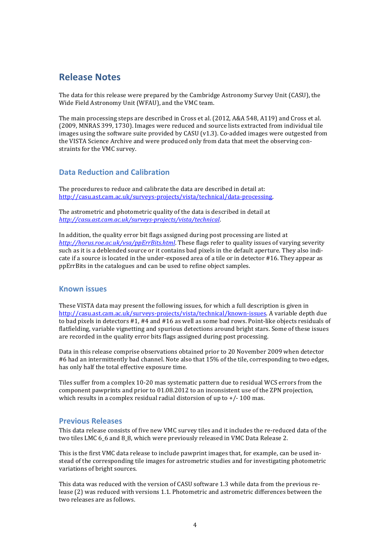### **Release Notes**

The data for this release were prepared by the Cambridge Astronomy Survey Unit (CASU), the Wide Field Astronomy Unit (WFAU), and the VMC team.

The main processing steps are described in Cross et al. (2012, A&A 548, A119) and Cross et al. (2009, MNRAS 399, 1730). Images were reduced and source lists extracted from individual tile images using the software suite provided by CASU (v1.3). Co-added images were outgested from the VISTA Science Archive and were produced only from data that meet the observing constraints for the VMC survey.

#### **Data Reduction and Calibration**

The procedures to reduce and calibrate the data are described in detail at: http://casu.ast.cam.ac.uk/surveys-projects/vista/technical/data-processing. 

The astrometric and photometric quality of the data is described in detail at *http://casu.ast.cam.ac.uk/surveys-projects/vista/technical*.

In addition, the quality error bit flags assigned during post processing are listed at *http://horus.roe.ac.uk/ysa/ppErrBits.html*. These flags refer to quality issues of varying severity such as it is a deblended source or it contains bad pixels in the default aperture. They also indicate if a source is located in the under-exposed area of a tile or in detector #16. They appear as ppErrBits in the catalogues and can be used to refine object samples.

#### **Known issues**

These VISTA data may present the following issues, for which a full description is given in http://casu.ast.cam.ac.uk/surveys-projects/vista/technical/known-issues. A variable depth due to bad pixels in detectors #1, #4 and #16 as well as some bad rows. Point-like objects residuals of flatfielding, variable vignetting and spurious detections around bright stars. Some of these issues are recorded in the quality error bits flags assigned during post processing.

Data in this release comprise observations obtained prior to 20 November 2009 when detector #6 had an intermittently bad channel. Note also that 15% of the tile, corresponding to two edges, has only half the total effective exposure time.

Tiles suffer from a complex 10-20 mas systematic pattern due to residual WCS errors from the component pawprints and prior to 01.08.2012 to an inconsistent use of the ZPN projection, which results in a complex residual radial distorsion of up to  $+/-100$  mas.

#### **Previous Releases**

This data release consists of five new VMC survey tiles and it includes the re-reduced data of the two tiles LMC 6\_6 and 8\_8, which were previously released in VMC Data Release 2.

This is the first VMC data release to include pawprint images that, for example, can be used instead of the corresponding tile images for astrometric studies and for investigating photometric variations of bright sources.

This data was reduced with the version of CASU software 1.3 while data from the previous release (2) was reduced with versions 1.1. Photometric and astrometric differences between the two releases are as follows.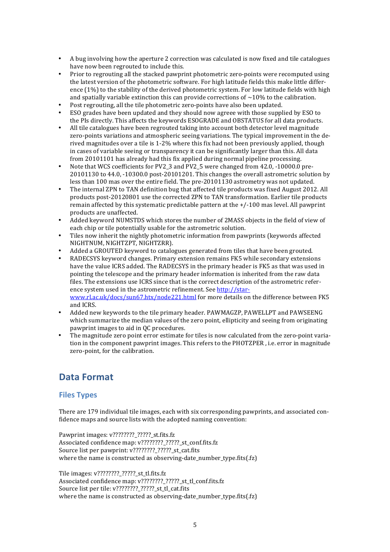- A bug involving how the aperture 2 correction was calculated is now fixed and tile catalogues have now been regrouted to include this.
- Prior to regrouting all the stacked pawprint photometric zero-points were recomputed using the latest version of the photometric software. For high latitude fields this make little difference (1%) to the stability of the derived photometric system. For low latitude fields with high and spatially variable extinction this can provide corrections of  $\sim$ 10% to the calibration.
- Post regrouting, all the tile photometric zero-points have also been updated.
- ESO grades have been updated and they should now agreee with those supplied by ESO to the PIs directly. This affects the keywords ESOGRADE and OBSTATUS for all data products.
- All tile catalogues have been regrouted taking into account both detector level magnitude zero-points variations and atmospheric seeing variations. The typical improvement in the derived magnitudes over a tile is  $1-2\%$  where this fix had not been previously applied, though in cases of variable seeing or transparency it can be significantly larger than this. All data from 20101101 has already had this fix applied during normal pipeline processing.
- Note that WCS coefficients for PV2\_3 and PV2\_5 were changed from 42.0, -10000.0 pre- $20101130$  to  $44.0$ ,  $-10300.0$  post $-20101201$ . This changes the overall astrometric solution by less than 100 mas over the entire field. The pre-20101130 astrometry was not updated.
- The internal ZPN to TAN definition bug that affected tile products was fixed August 2012. All products post-20120801 use the corrected ZPN to TAN transformation. Earlier tile products remain affected by this systematic predictable pattern at the  $+/-100$  mas level. All pawprint products are unaffected.
- Added keyword NUMSTDS which stores the number of 2MASS objects in the field of view of each chip or tile potentially usable for the astrometric solution.
- Tiles now inherit the nightly photometric information from pawprints (keywords affected NIGHTNUM, NIGHTZPT, NIGHTZRR).
- Added a GROUTED keyword to catalogues generated from tiles that have been grouted.
- RADECSYS keyword changes. Primary extension remains FK5 while secondary extensions have the value ICRS added. The RADECSYS in the primary header is FK5 as that was used in pointing the telescope and the primary header information is inherited from the raw data files. The extensions use ICRS since that is the correct description of the astrometric reference system used in the astrometric refinement. See http://starwww.rl.ac.uk/docs/sun67.htx/node221.html for more details on the difference between FK5 and ICRS.
- Added new keywords to the tile primary header. PAWMAGZP, PAWELLPT and PAWSEENG which summarize the median values of the zero point, ellipticity and seeing from originating pawprint images to aid in QC procedures.
- The magnitude zero point error estimate for tiles is now calculated from the zero-point variation in the component pawprint images. This refers to the PHOTZPER, *i.e.* error in magnitude zero-point, for the calibration.

# **Data Format**

### **Files Types**

There are 179 individual tile images, each with six corresponding pawprints, and associated confidence maps and source lists with the adopted naming convention:

Pawprint images: v???????? ????? st.fits.fz Associated confidence map: v????????? ?????\_st\_conf.fits.fz Source list per pawprint: v?????????\_?????\_st\_cat.fits where the name is constructed as observing-date number type.fits $(fz)$ 

Tile images: v????????? ????? st\_tl.fits.fz Associated confidence map: v????????? ????? st\_tl\_conf.fits.fz Source list per tile: v?????????.??????\_st\_tl\_cat.fits where the name is constructed as observing-date\_number\_type.fits(.fz)